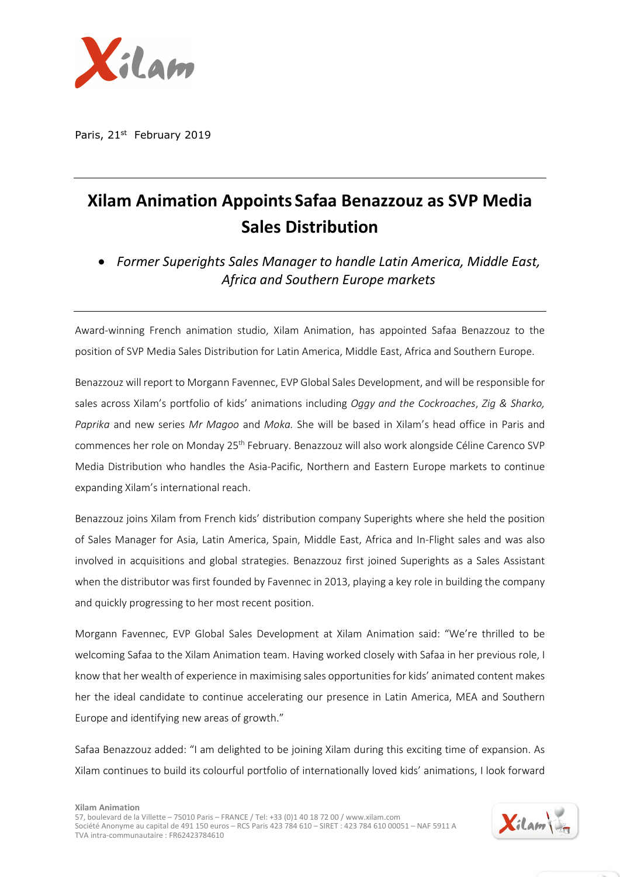

Paris, 21st February 2019

## **Xilam Animation Appoints Safaa Benazzouz as SVP Media Sales Distribution**

• *Former Superights Sales Manager to handle Latin America, Middle East, Africa and Southern Europe markets* 

Award-winning French animation studio, Xilam Animation, has appointed Safaa Benazzouz to the position of SVP Media Sales Distribution for Latin America, Middle East, Africa and Southern Europe.

Benazzouz will report to Morgann Favennec, EVP Global Sales Development, and will be responsible for sales across Xilam's portfolio of kids' animations including *Oggy and the Cockroaches*, *Zig & Sharko, Paprika* and new series *Mr Magoo* and *Moka.* She will be based in Xilam's head office in Paris and commences her role on Monday 25<sup>th</sup> February. Benazzouz will also work alongside Céline Carenco SVP Media Distribution who handles the Asia-Pacific, Northern and Eastern Europe markets to continue expanding Xilam's international reach.

Benazzouz joins Xilam from French kids' distribution company Superights where she held the position of Sales Manager for Asia, Latin America, Spain, Middle East, Africa and In-Flight sales and was also involved in acquisitions and global strategies. Benazzouz first joined Superights as a Sales Assistant when the distributor was first founded by Favennec in 2013, playing a key role in building the company and quickly progressing to her most recent position.

Morgann Favennec, EVP Global Sales Development at Xilam Animation said: "We're thrilled to be welcoming Safaa to the Xilam Animation team. Having worked closely with Safaa in her previous role, I know that her wealth of experience in maximising sales opportunities for kids' animated content makes her the ideal candidate to continue accelerating our presence in Latin America, MEA and Southern Europe and identifying new areas of growth."

Safaa Benazzouz added: "I am delighted to be joining Xilam during this exciting time of expansion. As Xilam continues to build its colourful portfolio of internationally loved kids' animations, I look forward